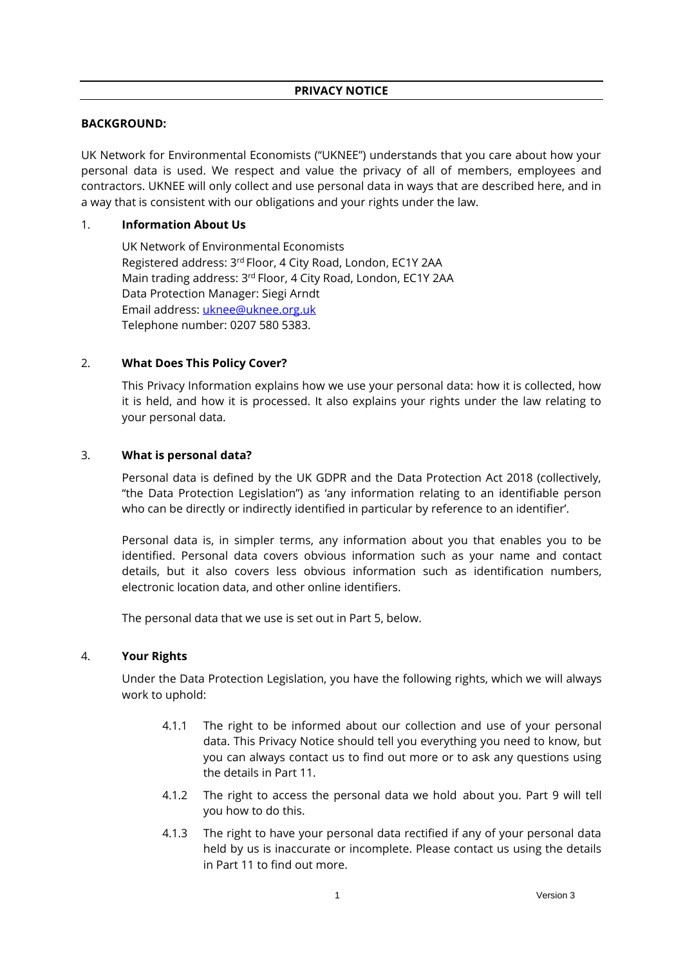### **PRIVACY NOTICE**

### **BACKGROUND:**

UK Network for Environmental Economists ("UKNEE") understands that you care about how your personal data is used. We respect and value the privacy of all of members, employees and contractors. UKNEE will only collect and use personal data in ways that are described here, and in a way that is consistent with our obligations and your rights under the law.

## 1. **Information About Us**

UK Network of Environmental Economists Registered address: 3rd Floor, 4 City Road, London, EC1Y 2AA Main trading address: 3<sup>rd</sup> Floor, 4 City Road, London, EC1Y 2AA Data Protection Manager: Siegi Arndt Email address[: uknee@uknee.org.uk](mailto:uknee@uknee.org.uk)  Telephone number: 0207 580 5383.

## 2. **What Does This Policy Cover?**

This Privacy Information explains how we use your personal data: how it is collected, how it is held, and how it is processed. It also explains your rights under the law relating to your personal data.

## 3. **What is personal data?**

Personal data is defined by the UK GDPR and the Data Protection Act 2018 (collectively, "the Data Protection Legislation") as 'any information relating to an identifiable person who can be directly or indirectly identified in particular by reference to an identifier'.

Personal data is, in simpler terms, any information about you that enables you to be identified. Personal data covers obvious information such as your name and contact details, but it also covers less obvious information such as identification numbers, electronic location data, and other online identifiers.

The personal data that we use is set out in Part [5,](#page-1-0) below.

# 4. **Your Rights**

Under the Data Protection Legislation, you have the following rights, which we will always work to uphold:

- 4.1.1 The right to be informed about our collection and use of your personal data. This Privacy Notice should tell you everything you need to know, but you can always contact us to find out more or to ask any questions using the details in Part [11.](#page-4-0)
- 4.1.2 The right to access the personal data we hold about you. Part [9](#page-3-0) will tell you how to do this.
- 4.1.3 The right to have your personal data rectified if any of your personal data held by us is inaccurate or incomplete. Please contact us using the details in Part [11](#page-4-0) to find out more.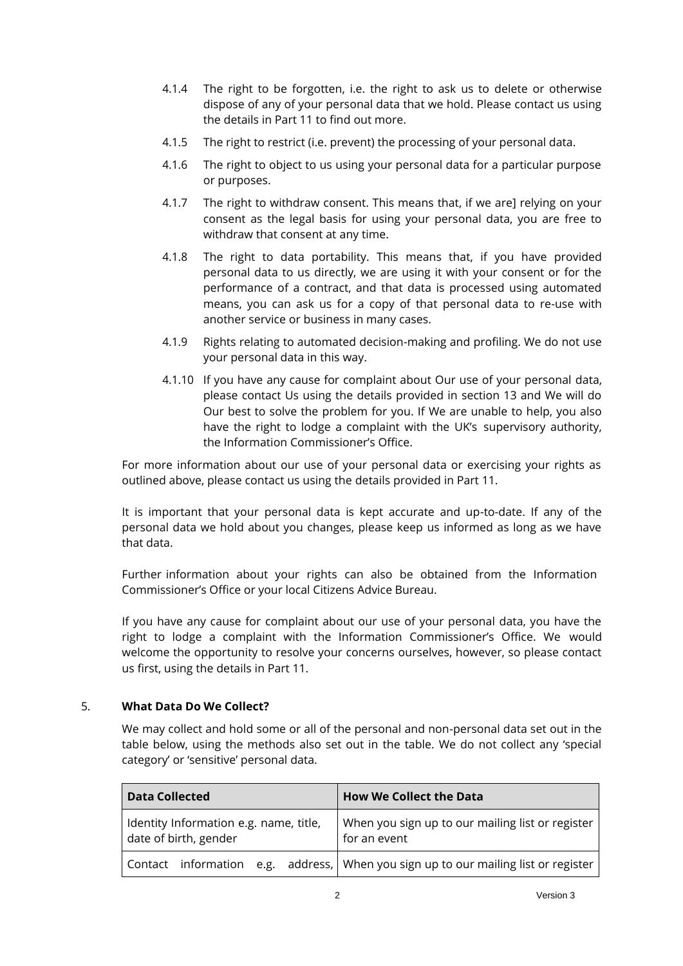- 4.1.4 The right to be forgotten, i.e. the right to ask us to delete or otherwise dispose of any of your personal data that we hold. Please contact us using the details in Part [11](#page-4-0) to find out more.
- 4.1.5 The right to restrict (i.e. prevent) the processing of your personal data.
- 4.1.6 The right to object to us using your personal data for a particular purpose or purposes.
- 4.1.7 The right to withdraw consent. This means that, if we are] relying on your consent as the legal basis for using your personal data, you are free to withdraw that consent at any time.
- 4.1.8 The right to data portability. This means that, if you have provided personal data to us directly, we are using it with your consent or for the performance of a contract, and that data is processed using automated means, you can ask us for a copy of that personal data to re-use with another service or business in many cases.
- 4.1.9 Rights relating to automated decision-making and profiling. We do not use your personal data in this way.
- 4.1.10 If you have any cause for complaint about Our use of your personal data, please contact Us using the details provided in section 13 and We will do Our best to solve the problem for you. If We are unable to help, you also have the right to lodge a complaint with the UK's supervisory authority, the Information Commissioner's Office.

For more information about our use of your personal data or exercising your rights as outlined above, please contact us using the details provided in Part [11.](#page-4-0)

It is important that your personal data is kept accurate and up-to-date. If any of the personal data we hold about you changes, please keep us informed as long as we have that data.

Further information about your rights can also be obtained from the Information Commissioner's Office or your local Citizens Advice Bureau.

If you have any cause for complaint about our use of your personal data, you have the right to lodge a complaint with the Information Commissioner's Office. We would welcome the opportunity to resolve your concerns ourselves, however, so please contact us first, using the details in Part 11.

# <span id="page-1-0"></span>5. **What Data Do We Collect?**

We may collect and hold some or all of the personal and non-personal data set out in the table below, using the methods also set out in the table. We do not collect any 'special category' or 'sensitive' personal data.

| <b>Data Collected</b>                                           | <b>How We Collect the Data</b>                                                     |
|-----------------------------------------------------------------|------------------------------------------------------------------------------------|
| Identity Information e.g. name, title,<br>date of birth, gender | When you sign up to our mailing list or register<br>for an event                   |
|                                                                 | Contact information e.g. address, When you sign up to our mailing list or register |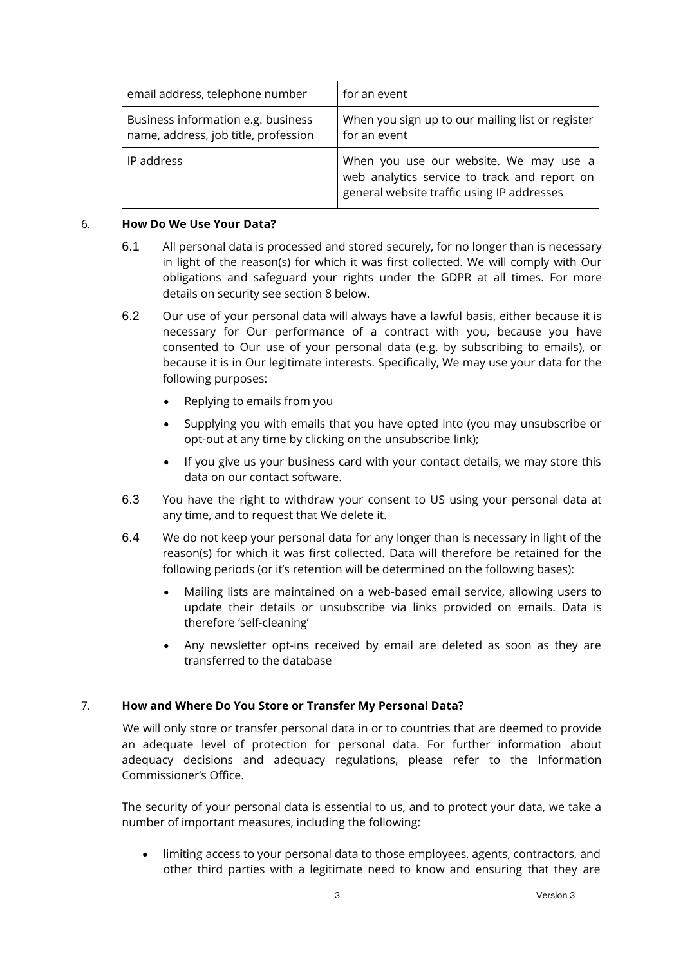| email address, telephone number                                            | for an event                                                                                                                         |
|----------------------------------------------------------------------------|--------------------------------------------------------------------------------------------------------------------------------------|
| Business information e.g. business<br>name, address, job title, profession | When you sign up to our mailing list or register<br>for an event                                                                     |
| IP address                                                                 | When you use our website. We may use a<br>web analytics service to track and report on<br>general website traffic using IP addresses |

### 6. **How Do We Use Your Data?**

- 6.1 All personal data is processed and stored securely, for no longer than is necessary in light of the reason(s) for which it was first collected. We will comply with Our obligations and safeguard your rights under the GDPR at all times. For more details on security see section 8 below.
- 6.2 Our use of your personal data will always have a lawful basis, either because it is necessary for Our performance of a contract with you, because you have consented to Our use of your personal data (e.g. by subscribing to emails), or because it is in Our legitimate interests. Specifically, We may use your data for the following purposes:
	- Replying to emails from you
	- Supplying you with emails that you have opted into (you may unsubscribe or opt-out at any time by clicking on the unsubscribe link);
	- If you give us your business card with your contact details, we may store this data on our contact software.
- 6.3 You have the right to withdraw your consent to US using your personal data at any time, and to request that We delete it.
- 6.4 We do not keep your personal data for any longer than is necessary in light of the reason(s) for which it was first collected. Data will therefore be retained for the following periods (or it's retention will be determined on the following bases):
	- Mailing lists are maintained on a web-based email service, allowing users to update their details or unsubscribe via links provided on emails. Data is therefore 'self-cleaning'
	- Any newsletter opt-ins received by email are deleted as soon as they are transferred to the database

# 7. **How and Where Do You Store or Transfer My Personal Data?**

We will only store or transfer personal data in or to countries that are deemed to provide an adequate level of protection for personal data. For further information about adequacy decisions and adequacy regulations, please refer to the Information Commissioner's Office.

The security of your personal data is essential to us, and to protect your data, we take a number of important measures, including the following:

• limiting access to your personal data to those employees, agents, contractors, and other third parties with a legitimate need to know and ensuring that they are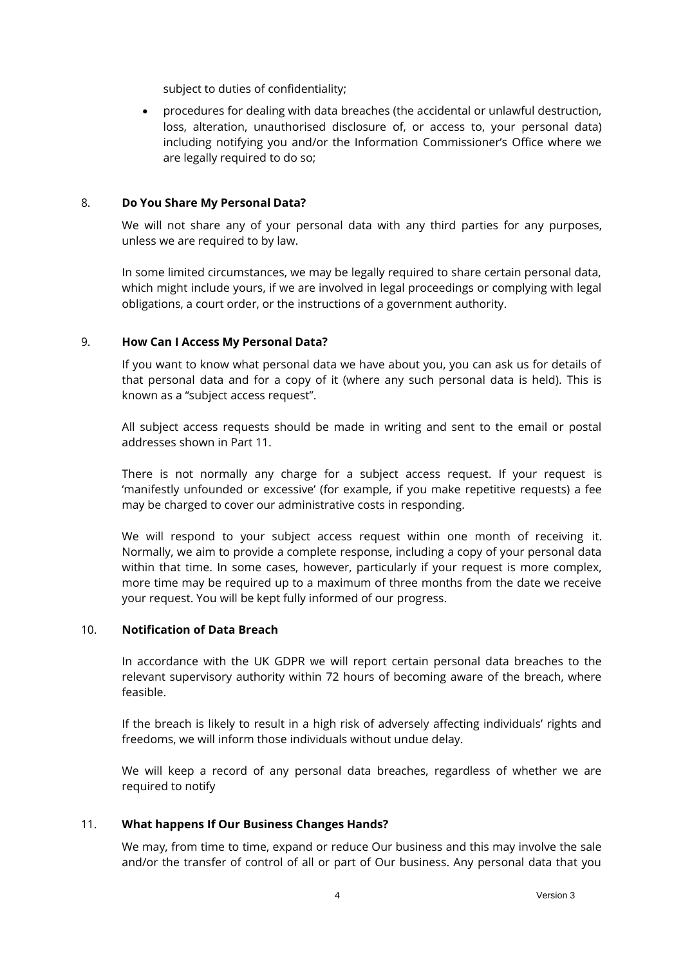subject to duties of confidentiality;

• procedures for dealing with data breaches (the accidental or unlawful destruction, loss, alteration, unauthorised disclosure of, or access to, your personal data) including notifying you and/or the Information Commissioner's Office where we are legally required to do so;

### 8. **Do You Share My Personal Data?**

We will not share any of your personal data with any third parties for any purposes, unless we are required to by law.

In some limited circumstances, we may be legally required to share certain personal data, which might include yours, if we are involved in legal proceedings or complying with legal obligations, a court order, or the instructions of a government authority.

### <span id="page-3-0"></span>9. **How Can I Access My Personal Data?**

If you want to know what personal data we have about you, you can ask us for details of that personal data and for a copy of it (where any such personal data is held). This is known as a "subject access request".

All subject access requests should be made in writing and sent to the email or postal addresses shown in Part 11.

There is not normally any charge for a subject access request. If your request is 'manifestly unfounded or excessive' (for example, if you make repetitive requests) a fee may be charged to cover our administrative costs in responding.

We will respond to your subject access request within one month of receiving it. Normally, we aim to provide a complete response, including a copy of your personal data within that time. In some cases, however, particularly if your request is more complex, more time may be required up to a maximum of three months from the date we receive your request. You will be kept fully informed of our progress.

### 10. **Notification of Data Breach**

In accordance with the UK GDPR we will report certain personal data breaches to the relevant supervisory authority within 72 hours of becoming aware of the breach, where feasible.

If the breach is likely to result in a high risk of adversely affecting individuals' rights and freedoms, we will inform those individuals without undue delay.

We will keep a record of any personal data breaches, regardless of whether we are required to notify

### 11. **What happens If Our Business Changes Hands?**

We may, from time to time, expand or reduce Our business and this may involve the sale and/or the transfer of control of all or part of Our business. Any personal data that you